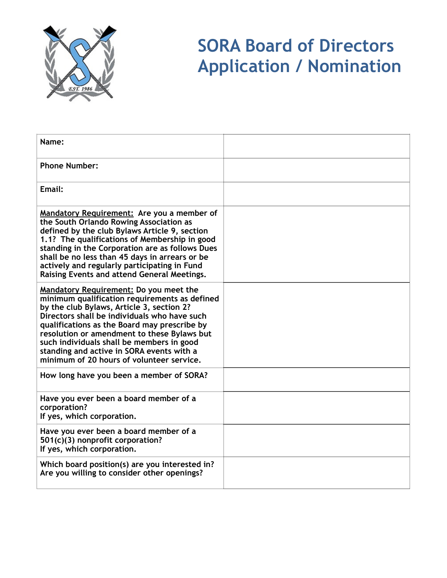

# **SORA Board of Directors Application / Nomination**

| Name:                                                                                                                                                                                                                                                                                                                                                                                                                             |  |
|-----------------------------------------------------------------------------------------------------------------------------------------------------------------------------------------------------------------------------------------------------------------------------------------------------------------------------------------------------------------------------------------------------------------------------------|--|
| <b>Phone Number:</b>                                                                                                                                                                                                                                                                                                                                                                                                              |  |
| Email:                                                                                                                                                                                                                                                                                                                                                                                                                            |  |
| Mandatory Requirement: Are you a member of<br>the South Orlando Rowing Association as<br>defined by the club Bylaws Article 9, section<br>1.1? The qualifications of Membership in good<br>standing in the Corporation are as follows Dues<br>shall be no less than 45 days in arrears or be<br>actively and regularly participating in Fund<br>Raising Events and attend General Meetings.                                       |  |
| <b>Mandatory Requirement: Do you meet the</b><br>minimum qualification requirements as defined<br>by the club Bylaws, Article 3, section 2?<br>Directors shall be individuals who have such<br>qualifications as the Board may prescribe by<br>resolution or amendment to these Bylaws but<br>such individuals shall be members in good<br>standing and active in SORA events with a<br>minimum of 20 hours of volunteer service. |  |
| How long have you been a member of SORA?                                                                                                                                                                                                                                                                                                                                                                                          |  |
| Have you ever been a board member of a<br>corporation?<br>If yes, which corporation.                                                                                                                                                                                                                                                                                                                                              |  |
| Have you ever been a board member of a<br>501(c)(3) nonprofit corporation?<br>If yes, which corporation.                                                                                                                                                                                                                                                                                                                          |  |
| Which board position(s) are you interested in?<br>Are you willing to consider other openings?                                                                                                                                                                                                                                                                                                                                     |  |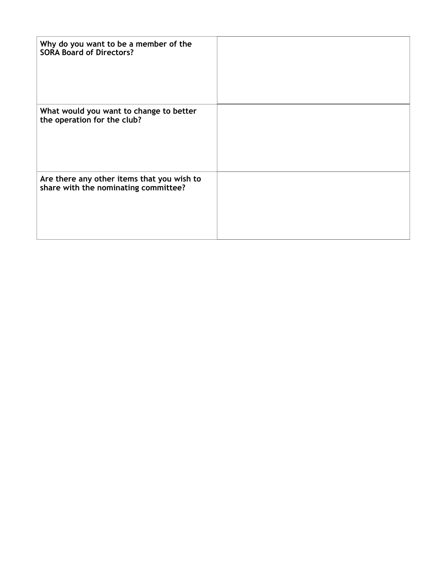| Why do you want to be a member of the<br><b>SORA Board of Directors?</b>           |  |
|------------------------------------------------------------------------------------|--|
| What would you want to change to better<br>the operation for the club?             |  |
| Are there any other items that you wish to<br>share with the nominating committee? |  |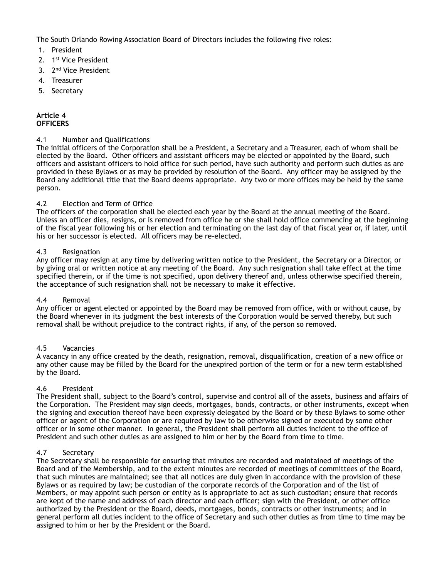The South Orlando Rowing Association Board of Directors includes the following five roles:

- 1. President
- 2. 1st Vice President
- 3. 2<sup>nd</sup> Vice President
- 4. Treasurer
- 5. Secretary

#### **Article 4 OFFICERS**

# 4.1 Number and Qualifications

The initial officers of the Corporation shall be a President, a Secretary and a Treasurer, each of whom shall be elected by the Board. Other officers and assistant officers may be elected or appointed by the Board, such officers and assistant officers to hold office for such period, have such authority and perform such duties as are provided in these Bylaws or as may be provided by resolution of the Board. Any officer may be assigned by the Board any additional title that the Board deems appropriate. Any two or more offices may be held by the same person.

# 4.2 Election and Term of Office

The officers of the corporation shall be elected each year by the Board at the annual meeting of the Board. Unless an officer dies, resigns, or is removed from office he or she shall hold office commencing at the beginning of the fiscal year following his or her election and terminating on the last day of that fiscal year or, if later, until his or her successor is elected. All officers may be re-elected.

#### 4.3 Resignation

Any officer may resign at any time by delivering written notice to the President, the Secretary or a Director, or by giving oral or written notice at any meeting of the Board. Any such resignation shall take effect at the time specified therein, or if the time is not specified, upon delivery thereof and, unless otherwise specified therein, the acceptance of such resignation shall not be necessary to make it effective.

#### 4.4 Removal

Any officer or agent elected or appointed by the Board may be removed from office, with or without cause, by the Board whenever in its judgment the best interests of the Corporation would be served thereby, but such removal shall be without prejudice to the contract rights, if any, of the person so removed.

# 4.5 Vacancies

A vacancy in any office created by the death, resignation, removal, disqualification, creation of a new office or any other cause may be filled by the Board for the unexpired portion of the term or for a new term established by the Board.

# 4.6 President

The President shall, subject to the Board's control, supervise and control all of the assets, business and affairs of the Corporation. The President may sign deeds, mortgages, bonds, contracts, or other instruments, except when the signing and execution thereof have been expressly delegated by the Board or by these Bylaws to some other officer or agent of the Corporation or are required by law to be otherwise signed or executed by some other officer or in some other manner. In general, the President shall perform all duties incident to the office of President and such other duties as are assigned to him or her by the Board from time to time.

# 4.7 Secretary

The Secretary shall be responsible for ensuring that minutes are recorded and maintained of meetings of the Board and of the Membership, and to the extent minutes are recorded of meetings of committees of the Board, that such minutes are maintained; see that all notices are duly given in accordance with the provision of these Bylaws or as required by law; be custodian of the corporate records of the Corporation and of the list of Members, or may appoint such person or entity as is appropriate to act as such custodian; ensure that records are kept of the name and address of each director and each officer; sign with the President, or other office authorized by the President or the Board, deeds, mortgages, bonds, contracts or other instruments; and in general perform all duties incident to the office of Secretary and such other duties as from time to time may be assigned to him or her by the President or the Board.